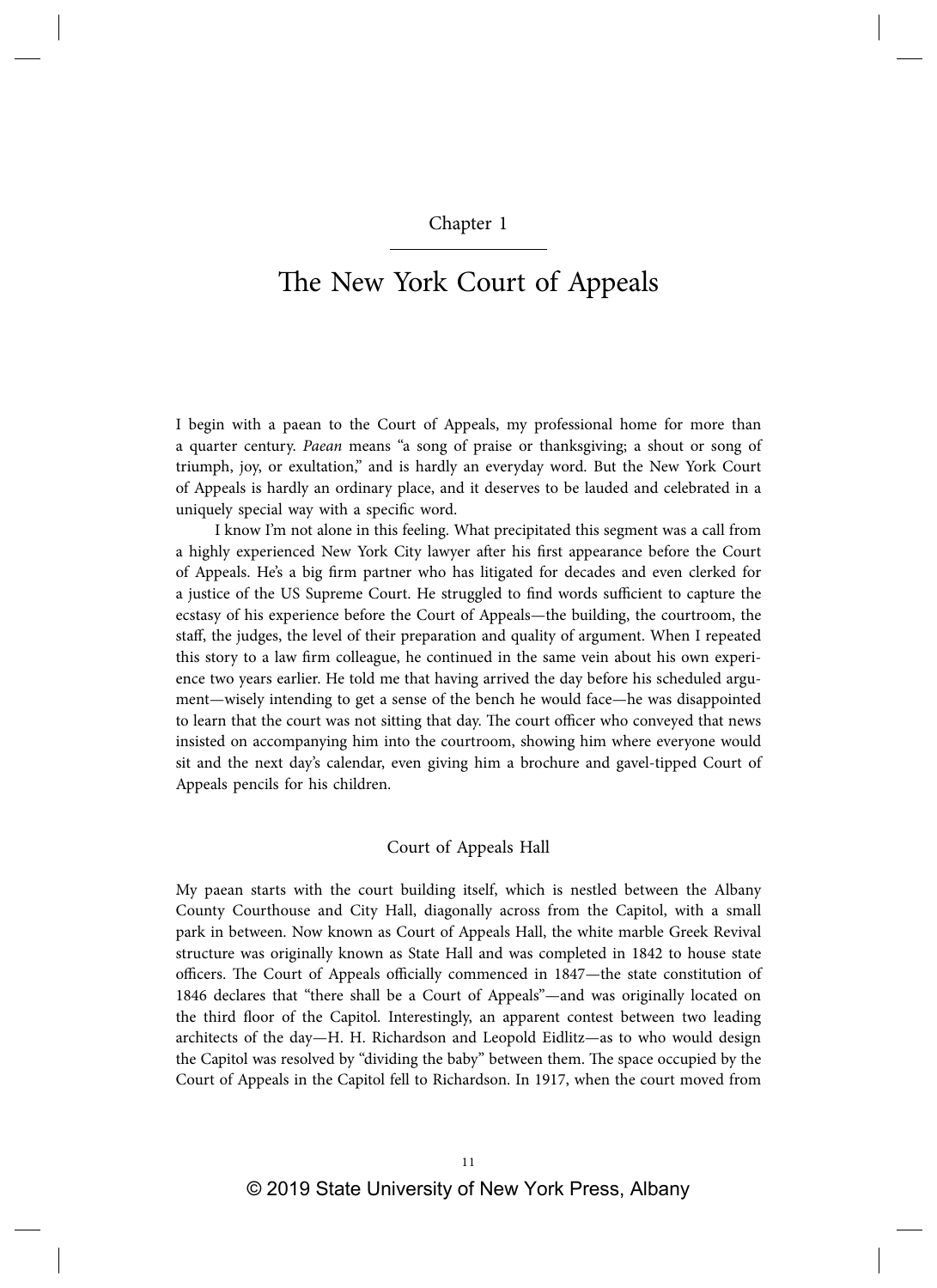Chapter 1

## The New York Court of Appeals

I begin with a paean to the Court of Appeals, my professional home for more than a quarter century. *Paean* means "a song of praise or thanksgiving; a shout or song of triumph, joy, or exultation," and is hardly an everyday word. But the New York Court of Appeals is hardly an ordinary place, and it deserves to be lauded and celebrated in a uniquely special way with a specific word.

I know I'm not alone in this feeling. What precipitated this segment was a call from a highly experienced New York City lawyer after his first appearance before the Court of Appeals. He's a big firm partner who has litigated for decades and even clerked for a justice of the US Supreme Court. He struggled to find words sufficient to capture the ecstasy of his experience before the Court of Appeals—the building, the courtroom, the staff, the judges, the level of their preparation and quality of argument. When I repeated this story to a law firm colleague, he continued in the same vein about his own experience two years earlier. He told me that having arrived the day before his scheduled argument—wisely intending to get a sense of the bench he would face—he was disappointed to learn that the court was not sitting that day. The court officer who conveyed that news insisted on accompanying him into the courtroom, showing him where everyone would sit and the next day's calendar, even giving him a brochure and gavel-tipped Court of Appeals pencils for his children.

## Court of Appeals Hall

My paean starts with the court building itself, which is nestled between the Albany County Courthouse and City Hall, diagonally across from the Capitol, with a small park in between. Now known as Court of Appeals Hall, the white marble Greek Revival structure was originally known as State Hall and was completed in 1842 to house state officers. The Court of Appeals officially commenced in 1847—the state constitution of 1846 declares that "there shall be a Court of Appeals"—and was originally located on the third floor of the Capitol. Interestingly, an apparent contest between two leading architects of the day—H. H. Richardson and Leopold Eidlitz—as to who would design the Capitol was resolved by "dividing the baby" between them. The space occupied by the Court of Appeals in the Capitol fell to Richardson. In 1917, when the court moved from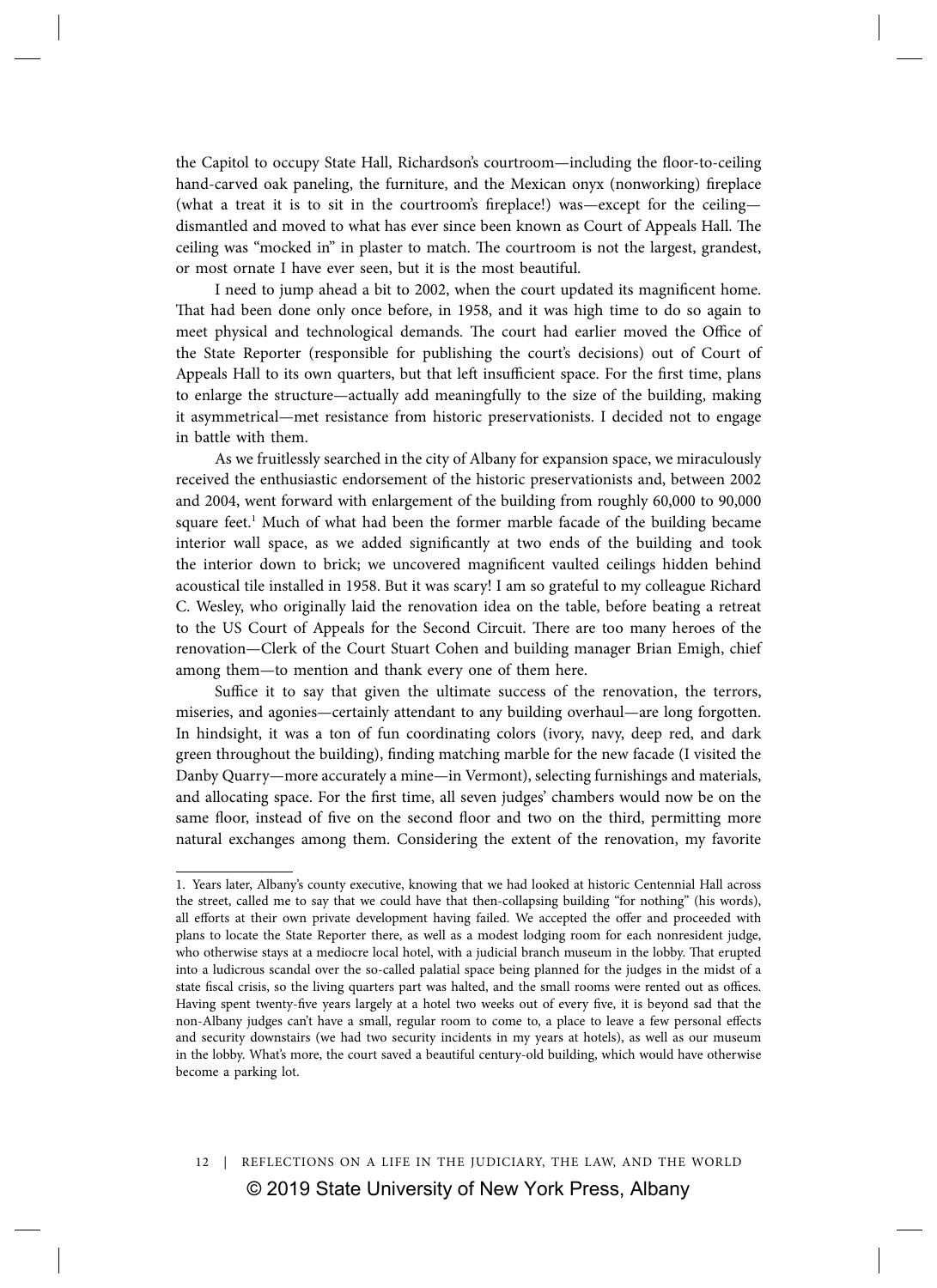the Capitol to occupy State Hall, Richardson's courtroom—including the floor-to-ceiling hand-carved oak paneling, the furniture, and the Mexican onyx (nonworking) fireplace (what a treat it is to sit in the courtroom's fireplace!) was—except for the ceiling dismantled and moved to what has ever since been known as Court of Appeals Hall. The ceiling was "mocked in" in plaster to match. The courtroom is not the largest, grandest, or most ornate I have ever seen, but it is the most beautiful.

I need to jump ahead a bit to 2002, when the court updated its magnificent home. That had been done only once before, in 1958, and it was high time to do so again to meet physical and technological demands. The court had earlier moved the Office of the State Reporter (responsible for publishing the court's decisions) out of Court of Appeals Hall to its own quarters, but that left insufficient space. For the first time, plans to enlarge the structure—actually add meaningfully to the size of the building, making it asymmetrical—met resistance from historic preservationists. I decided not to engage in battle with them.

As we fruitlessly searched in the city of Albany for expansion space, we miraculously received the enthusiastic endorsement of the historic preservationists and, between 2002 and 2004, went forward with enlargement of the building from roughly 60,000 to 90,000 square feet.<sup>1</sup> Much of what had been the former marble facade of the building became interior wall space, as we added significantly at two ends of the building and took the interior down to brick; we uncovered magnificent vaulted ceilings hidden behind acoustical tile installed in 1958. But it was scary! I am so grateful to my colleague Richard C. Wesley, who originally laid the renovation idea on the table, before beating a retreat to the US Court of Appeals for the Second Circuit. There are too many heroes of the renovation—Clerk of the Court Stuart Cohen and building manager Brian Emigh, chief among them—to mention and thank every one of them here.

Suffice it to say that given the ultimate success of the renovation, the terrors, miseries, and agonies—certainly attendant to any building overhaul—are long forgotten. In hindsight, it was a ton of fun coordinating colors (ivory, navy, deep red, and dark green throughout the building), finding matching marble for the new facade (I visited the Danby Quarry—more accurately a mine—in Vermont), selecting furnishings and materials, and allocating space. For the first time, all seven judges' chambers would now be on the same floor, instead of five on the second floor and two on the third, permitting more natural exchanges among them. Considering the extent of the renovation, my favorite

<sup>1.</sup> Years later, Albany's county executive, knowing that we had looked at historic Centennial Hall across the street, called me to say that we could have that then-collapsing building "for nothing" (his words), all efforts at their own private development having failed. We accepted the offer and proceeded with plans to locate the State Reporter there, as well as a modest lodging room for each nonresident judge, who otherwise stays at a mediocre local hotel, with a judicial branch museum in the lobby. That erupted into a ludicrous scandal over the so-called palatial space being planned for the judges in the midst of a state fiscal crisis, so the living quarters part was halted, and the small rooms were rented out as offices. Having spent twenty-five years largely at a hotel two weeks out of every five, it is beyond sad that the non-Albany judges can't have a small, regular room to come to, a place to leave a few personal effects and security downstairs (we had two security incidents in my years at hotels), as well as our museum in the lobby. What's more, the court saved a beautiful century-old building, which would have otherwise become a parking lot.

<sup>12</sup> | REFLECTIONS ON A LIFE IN THE JUDICIARY, THE LAW, AND THE WORLD © 2019 State University of New York Press, Albany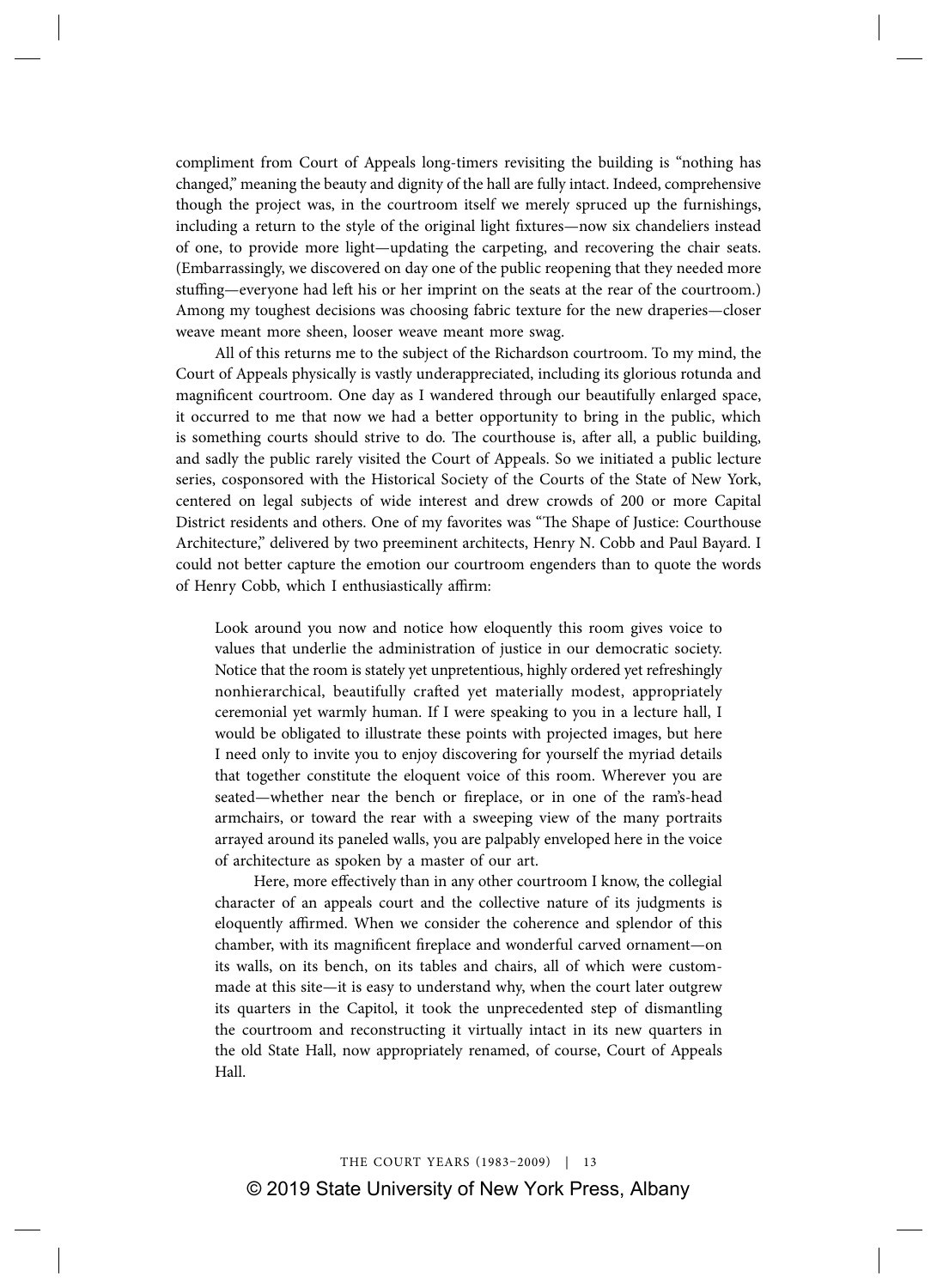compliment from Court of Appeals long-timers revisiting the building is "nothing has changed," meaning the beauty and dignity of the hall are fully intact. Indeed, comprehensive though the project was, in the courtroom itself we merely spruced up the furnishings, including a return to the style of the original light fixtures—now six chandeliers instead of one, to provide more light—updating the carpeting, and recovering the chair seats. (Embarrassingly, we discovered on day one of the public reopening that they needed more stuffing—everyone had left his or her imprint on the seats at the rear of the courtroom.) Among my toughest decisions was choosing fabric texture for the new draperies—closer weave meant more sheen, looser weave meant more swag.

All of this returns me to the subject of the Richardson courtroom. To my mind, the Court of Appeals physically is vastly underappreciated, including its glorious rotunda and magnificent courtroom. One day as I wandered through our beautifully enlarged space, it occurred to me that now we had a better opportunity to bring in the public, which is something courts should strive to do. The courthouse is, after all, a public building, and sadly the public rarely visited the Court of Appeals. So we initiated a public lecture series, cosponsored with the Historical Society of the Courts of the State of New York, centered on legal subjects of wide interest and drew crowds of 200 or more Capital District residents and others. One of my favorites was "The Shape of Justice: Courthouse Architecture," delivered by two preeminent architects, Henry N. Cobb and Paul Bayard. I could not better capture the emotion our courtroom engenders than to quote the words of Henry Cobb, which I enthusiastically affirm:

Look around you now and notice how eloquently this room gives voice to values that underlie the administration of justice in our democratic society. Notice that the room is stately yet unpretentious, highly ordered yet refreshingly nonhierarchical, beautifully crafted yet materially modest, appropriately ceremonial yet warmly human. If I were speaking to you in a lecture hall, I would be obligated to illustrate these points with projected images, but here I need only to invite you to enjoy discovering for yourself the myriad details that together constitute the eloquent voice of this room. Wherever you are seated—whether near the bench or fireplace, or in one of the ram's-head armchairs, or toward the rear with a sweeping view of the many portraits arrayed around its paneled walls, you are palpably enveloped here in the voice of architecture as spoken by a master of our art.

Here, more effectively than in any other courtroom I know, the collegial character of an appeals court and the collective nature of its judgments is eloquently affirmed. When we consider the coherence and splendor of this chamber, with its magnificent fireplace and wonderful carved ornament—on its walls, on its bench, on its tables and chairs, all of which were custommade at this site—it is easy to understand why, when the court later outgrew its quarters in the Capitol, it took the unprecedented step of dismantling the courtroom and reconstructing it virtually intact in its new quarters in the old State Hall, now appropriately renamed, of course, Court of Appeals Hall.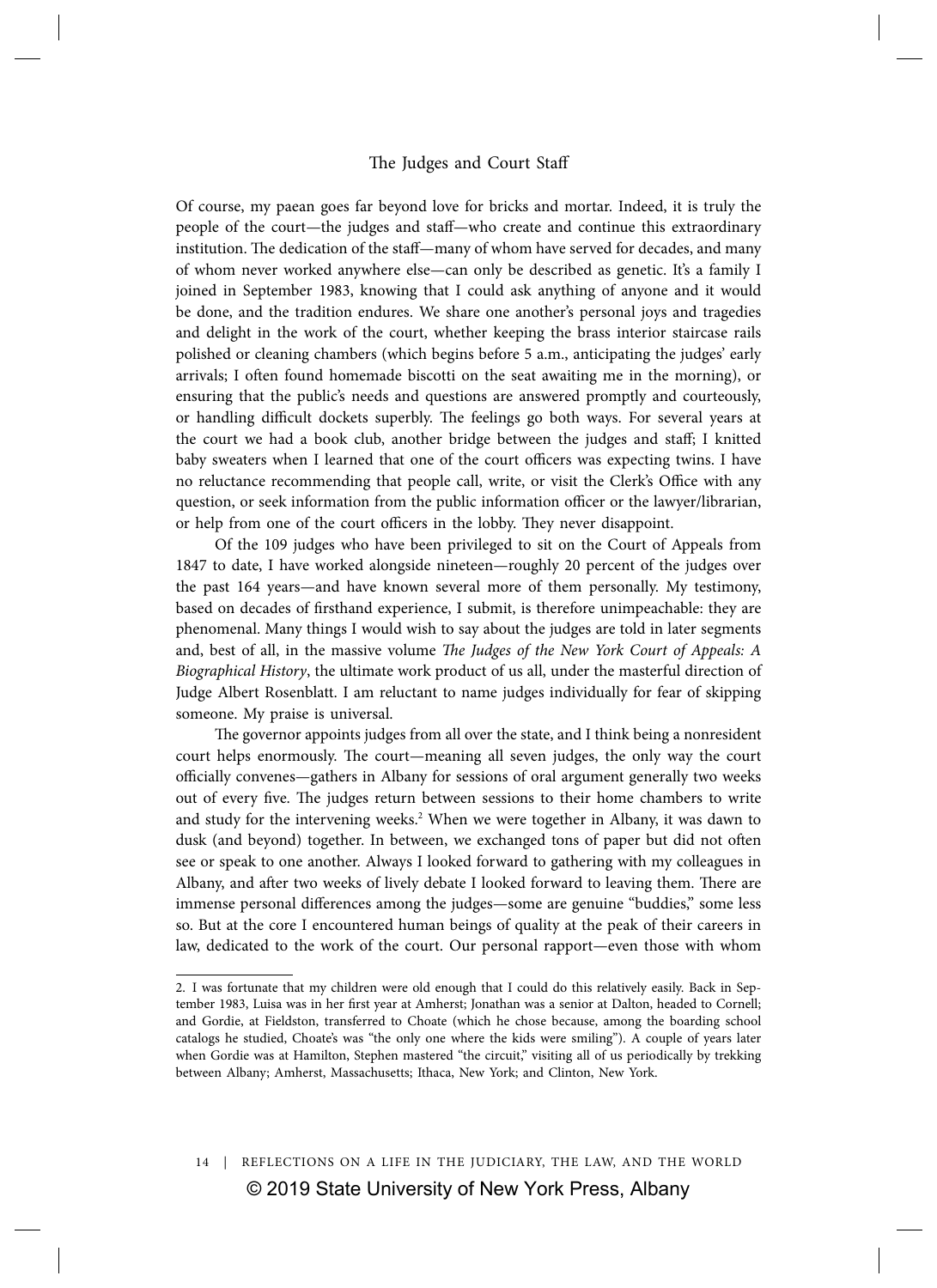## The Judges and Court Staff

Of course, my paean goes far beyond love for bricks and mortar. Indeed, it is truly the people of the court—the judges and staff—who create and continue this extraordinary institution. The dedication of the staff—many of whom have served for decades, and many of whom never worked anywhere else—can only be described as genetic. It's a family I joined in September 1983, knowing that I could ask anything of anyone and it would be done, and the tradition endures. We share one another's personal joys and tragedies and delight in the work of the court, whether keeping the brass interior staircase rails polished or cleaning chambers (which begins before 5 a.m., anticipating the judges' early arrivals; I often found homemade biscotti on the seat awaiting me in the morning), or ensuring that the public's needs and questions are answered promptly and courteously, or handling difficult dockets superbly. The feelings go both ways. For several years at the court we had a book club, another bridge between the judges and staff; I knitted baby sweaters when I learned that one of the court officers was expecting twins. I have no reluctance recommending that people call, write, or visit the Clerk's Office with any question, or seek information from the public information officer or the lawyer/librarian, or help from one of the court officers in the lobby. They never disappoint.

Of the 109 judges who have been privileged to sit on the Court of Appeals from 1847 to date, I have worked alongside nineteen—roughly 20 percent of the judges over the past 164 years—and have known several more of them personally. My testimony, based on decades of firsthand experience, I submit, is therefore unimpeachable: they are phenomenal. Many things I would wish to say about the judges are told in later segments and, best of all, in the massive volume *The Judges of the New York Court of Appeals: A Biographical History*, the ultimate work product of us all, under the masterful direction of Judge Albert Rosenblatt. I am reluctant to name judges individually for fear of skipping someone. My praise is universal.

The governor appoints judges from all over the state, and I think being a nonresident court helps enormously. The court—meaning all seven judges, the only way the court officially convenes—gathers in Albany for sessions of oral argument generally two weeks out of every five. The judges return between sessions to their home chambers to write and study for the intervening weeks.<sup>2</sup> When we were together in Albany, it was dawn to dusk (and beyond) together. In between, we exchanged tons of paper but did not often see or speak to one another. Always I looked forward to gathering with my colleagues in Albany, and after two weeks of lively debate I looked forward to leaving them. There are immense personal differences among the judges—some are genuine "buddies," some less so. But at the core I encountered human beings of quality at the peak of their careers in law, dedicated to the work of the court. Our personal rapport—even those with whom

14 | REFLECTIONS ON A LIFE IN THE JUDICIARY, THE LAW, AND THE WORLD © 2019 State University of New York Press, Albany

<sup>2.</sup> I was fortunate that my children were old enough that I could do this relatively easily. Back in September 1983, Luisa was in her first year at Amherst; Jonathan was a senior at Dalton, headed to Cornell; and Gordie, at Fieldston, transferred to Choate (which he chose because, among the boarding school catalogs he studied, Choate's was "the only one where the kids were smiling"). A couple of years later when Gordie was at Hamilton, Stephen mastered "the circuit," visiting all of us periodically by trekking between Albany; Amherst, Massachusetts; Ithaca, New York; and Clinton, New York.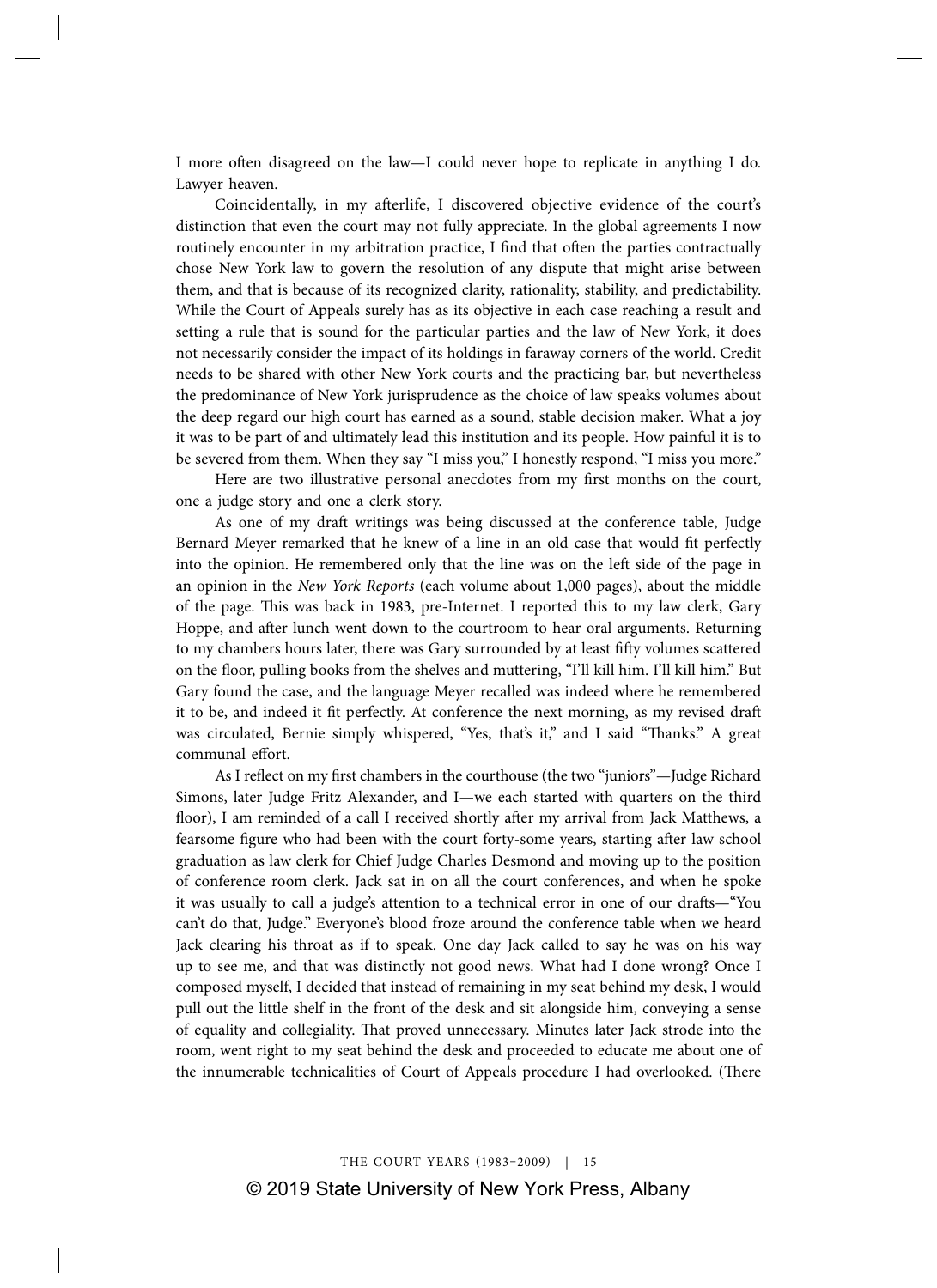I more often disagreed on the law—I could never hope to replicate in anything I do. Lawyer heaven.

Coincidentally, in my afterlife, I discovered objective evidence of the court's distinction that even the court may not fully appreciate. In the global agreements I now routinely encounter in my arbitration practice, I find that often the parties contractually chose New York law to govern the resolution of any dispute that might arise between them, and that is because of its recognized clarity, rationality, stability, and predictability. While the Court of Appeals surely has as its objective in each case reaching a result and setting a rule that is sound for the particular parties and the law of New York, it does not necessarily consider the impact of its holdings in faraway corners of the world. Credit needs to be shared with other New York courts and the practicing bar, but nevertheless the predominance of New York jurisprudence as the choice of law speaks volumes about the deep regard our high court has earned as a sound, stable decision maker. What a joy it was to be part of and ultimately lead this institution and its people. How painful it is to be severed from them. When they say "I miss you," I honestly respond, "I miss you more."

Here are two illustrative personal anecdotes from my first months on the court, one a judge story and one a clerk story.

As one of my draft writings was being discussed at the conference table, Judge Bernard Meyer remarked that he knew of a line in an old case that would fit perfectly into the opinion. He remembered only that the line was on the left side of the page in an opinion in the *New York Reports* (each volume about 1,000 pages), about the middle of the page. This was back in 1983, pre-Internet. I reported this to my law clerk, Gary Hoppe, and after lunch went down to the courtroom to hear oral arguments. Returning to my chambers hours later, there was Gary surrounded by at least fifty volumes scattered on the floor, pulling books from the shelves and muttering, "I'll kill him. I'll kill him." But Gary found the case, and the language Meyer recalled was indeed where he remembered it to be, and indeed it fit perfectly. At conference the next morning, as my revised draft was circulated, Bernie simply whispered, "Yes, that's it," and I said "Thanks." A great communal effort.

As I reflect on my first chambers in the courthouse (the two "juniors"—Judge Richard Simons, later Judge Fritz Alexander, and I—we each started with quarters on the third floor), I am reminded of a call I received shortly after my arrival from Jack Matthews, a fearsome figure who had been with the court forty-some years, starting after law school graduation as law clerk for Chief Judge Charles Desmond and moving up to the position of conference room clerk. Jack sat in on all the court conferences, and when he spoke it was usually to call a judge's attention to a technical error in one of our drafts—"You can't do that, Judge." Everyone's blood froze around the conference table when we heard Jack clearing his throat as if to speak. One day Jack called to say he was on his way up to see me, and that was distinctly not good news. What had I done wrong? Once I composed myself, I decided that instead of remaining in my seat behind my desk, I would pull out the little shelf in the front of the desk and sit alongside him, conveying a sense of equality and collegiality. That proved unnecessary. Minutes later Jack strode into the room, went right to my seat behind the desk and proceeded to educate me about one of the innumerable technicalities of Court of Appeals procedure I had overlooked. (There

> THE COURT YEARS (1983–2009) | 15 © 2019 State University of New York Press, Albany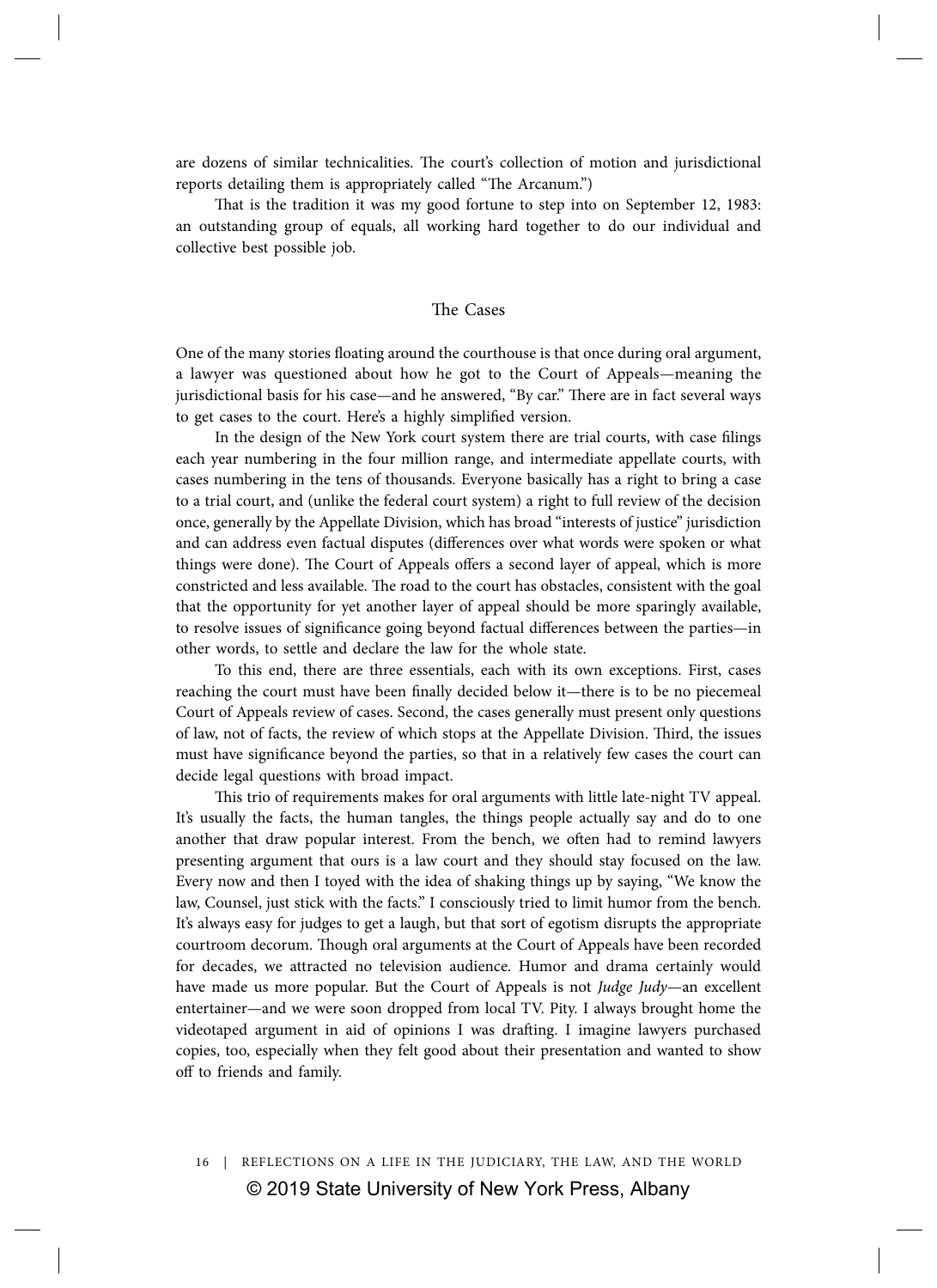are dozens of similar technicalities. The court's collection of motion and jurisdictional reports detailing them is appropriately called "The Arcanum.")

That is the tradition it was my good fortune to step into on September 12, 1983: an outstanding group of equals, all working hard together to do our individual and collective best possible job.

## The Cases

One of the many stories floating around the courthouse is that once during oral argument, a lawyer was questioned about how he got to the Court of Appeals—meaning the jurisdictional basis for his case—and he answered, "By car." There are in fact several ways to get cases to the court. Here's a highly simplified version.

In the design of the New York court system there are trial courts, with case filings each year numbering in the four million range, and intermediate appellate courts, with cases numbering in the tens of thousands. Everyone basically has a right to bring a case to a trial court, and (unlike the federal court system) a right to full review of the decision once, generally by the Appellate Division, which has broad "interests of justice" jurisdiction and can address even factual disputes (differences over what words were spoken or what things were done). The Court of Appeals offers a second layer of appeal, which is more constricted and less available. The road to the court has obstacles, consistent with the goal that the opportunity for yet another layer of appeal should be more sparingly available, to resolve issues of significance going beyond factual differences between the parties—in other words, to settle and declare the law for the whole state.

To this end, there are three essentials, each with its own exceptions. First, cases reaching the court must have been finally decided below it—there is to be no piecemeal Court of Appeals review of cases. Second, the cases generally must present only questions of law, not of facts, the review of which stops at the Appellate Division. Third, the issues must have significance beyond the parties, so that in a relatively few cases the court can decide legal questions with broad impact.

This trio of requirements makes for oral arguments with little late-night TV appeal. It's usually the facts, the human tangles, the things people actually say and do to one another that draw popular interest. From the bench, we often had to remind lawyers presenting argument that ours is a law court and they should stay focused on the law. Every now and then I toyed with the idea of shaking things up by saying, "We know the law, Counsel, just stick with the facts." I consciously tried to limit humor from the bench. It's always easy for judges to get a laugh, but that sort of egotism disrupts the appropriate courtroom decorum. Though oral arguments at the Court of Appeals have been recorded for decades, we attracted no television audience. Humor and drama certainly would have made us more popular. But the Court of Appeals is not *Judge Judy*—an excellent entertainer—and we were soon dropped from local TV. Pity. I always brought home the videotaped argument in aid of opinions I was drafting. I imagine lawyers purchased copies, too, especially when they felt good about their presentation and wanted to show off to friends and family.

16 | REFLECTIONS ON A LIFE IN THE JUDICIARY, THE LAW, AND THE WORLD © 2019 State University of New York Press, Albany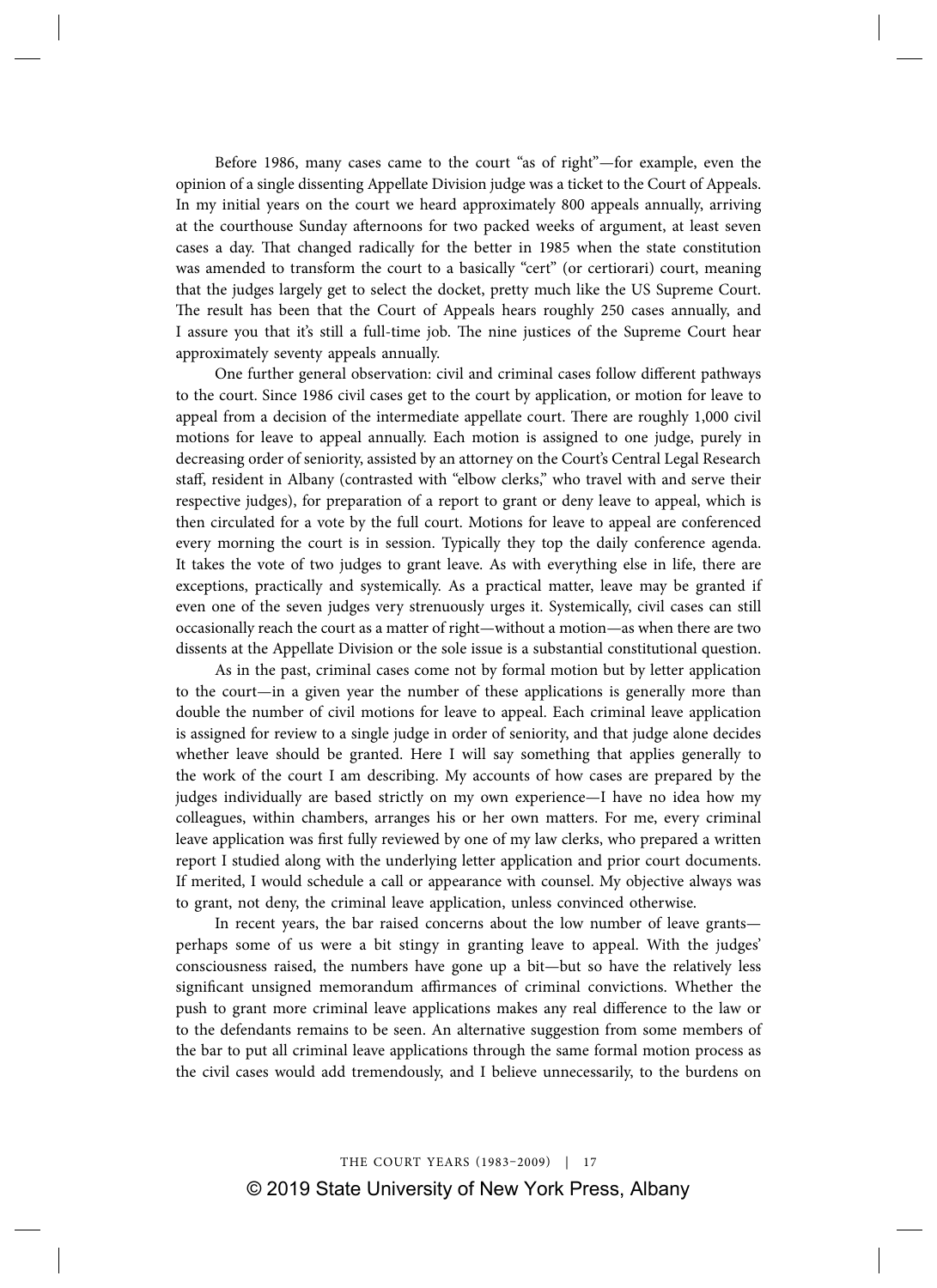Before 1986, many cases came to the court "as of right"—for example, even the opinion of a single dissenting Appellate Division judge was a ticket to the Court of Appeals. In my initial years on the court we heard approximately 800 appeals annually, arriving at the courthouse Sunday afternoons for two packed weeks of argument, at least seven cases a day. That changed radically for the better in 1985 when the state constitution was amended to transform the court to a basically "cert" (or certiorari) court, meaning that the judges largely get to select the docket, pretty much like the US Supreme Court. The result has been that the Court of Appeals hears roughly 250 cases annually, and I assure you that it's still a full-time job. The nine justices of the Supreme Court hear approximately seventy appeals annually.

One further general observation: civil and criminal cases follow different pathways to the court. Since 1986 civil cases get to the court by application, or motion for leave to appeal from a decision of the intermediate appellate court. There are roughly 1,000 civil motions for leave to appeal annually. Each motion is assigned to one judge, purely in decreasing order of seniority, assisted by an attorney on the Court's Central Legal Research staff, resident in Albany (contrasted with "elbow clerks," who travel with and serve their respective judges), for preparation of a report to grant or deny leave to appeal, which is then circulated for a vote by the full court. Motions for leave to appeal are conferenced every morning the court is in session. Typically they top the daily conference agenda. It takes the vote of two judges to grant leave. As with everything else in life, there are exceptions, practically and systemically. As a practical matter, leave may be granted if even one of the seven judges very strenuously urges it. Systemically, civil cases can still occasionally reach the court as a matter of right—without a motion—as when there are two dissents at the Appellate Division or the sole issue is a substantial constitutional question.

As in the past, criminal cases come not by formal motion but by letter application to the court—in a given year the number of these applications is generally more than double the number of civil motions for leave to appeal. Each criminal leave application is assigned for review to a single judge in order of seniority, and that judge alone decides whether leave should be granted. Here I will say something that applies generally to the work of the court I am describing. My accounts of how cases are prepared by the judges individually are based strictly on my own experience—I have no idea how my colleagues, within chambers, arranges his or her own matters. For me, every criminal leave application was first fully reviewed by one of my law clerks, who prepared a written report I studied along with the underlying letter application and prior court documents. If merited, I would schedule a call or appearance with counsel. My objective always was to grant, not deny, the criminal leave application, unless convinced otherwise.

In recent years, the bar raised concerns about the low number of leave grants perhaps some of us were a bit stingy in granting leave to appeal. With the judges' consciousness raised, the numbers have gone up a bit—but so have the relatively less significant unsigned memorandum affirmances of criminal convictions. Whether the push to grant more criminal leave applications makes any real difference to the law or to the defendants remains to be seen. An alternative suggestion from some members of the bar to put all criminal leave applications through the same formal motion process as the civil cases would add tremendously, and I believe unnecessarily, to the burdens on